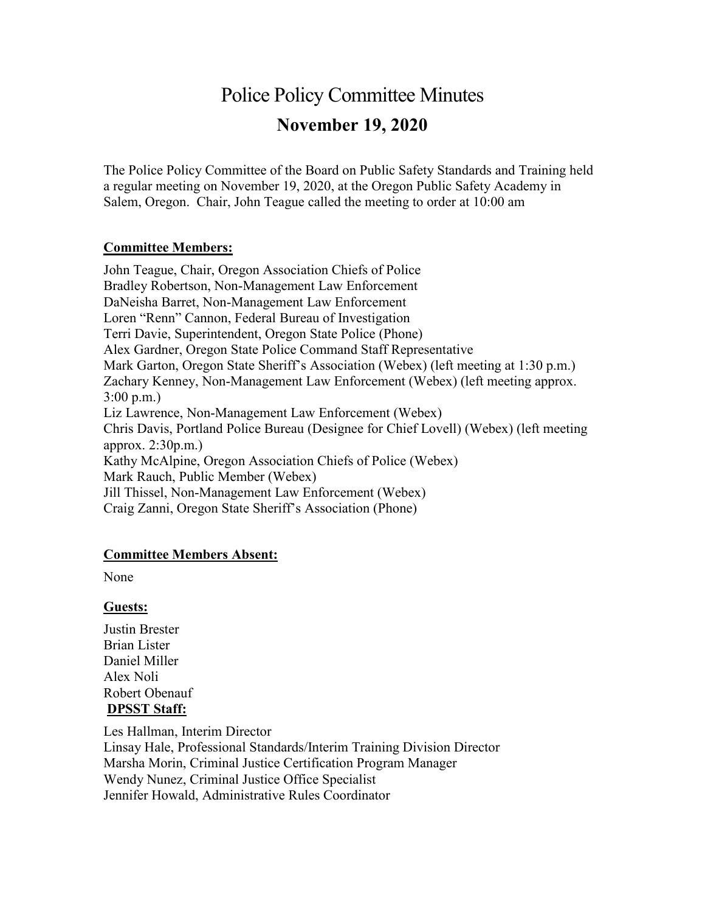# Police Policy Committee Minutes **November 19, 2020**

The Police Policy Committee of the Board on Public Safety Standards and Training held a regular meeting on November 19, 2020, at the Oregon Public Safety Academy in Salem, Oregon. Chair, John Teague called the meeting to order at 10:00 am

## **Committee Members:**

John Teague, Chair, Oregon Association Chiefs of Police Bradley Robertson, Non-Management Law Enforcement DaNeisha Barret, Non-Management Law Enforcement Loren "Renn" Cannon, Federal Bureau of Investigation Terri Davie, Superintendent, Oregon State Police (Phone) Alex Gardner, Oregon State Police Command Staff Representative Mark Garton, Oregon State Sheriff's Association (Webex) (left meeting at 1:30 p.m.) Zachary Kenney, Non-Management Law Enforcement (Webex) (left meeting approx. 3:00 p.m.) Liz Lawrence, Non-Management Law Enforcement (Webex) Chris Davis, Portland Police Bureau (Designee for Chief Lovell) (Webex) (left meeting approx. 2:30p.m.) Kathy McAlpine, Oregon Association Chiefs of Police (Webex) Mark Rauch, Public Member (Webex) Jill Thissel, Non-Management Law Enforcement (Webex) Craig Zanni, Oregon State Sheriff's Association (Phone)

#### **Committee Members Absent:**

None

#### **Guests:**

Justin Brester Brian Lister Daniel Miller Alex Noli Robert Obenauf **DPSST Staff:**

Les Hallman, Interim Director Linsay Hale, Professional Standards/Interim Training Division Director Marsha Morin, Criminal Justice Certification Program Manager Wendy Nunez, Criminal Justice Office Specialist Jennifer Howald, Administrative Rules Coordinator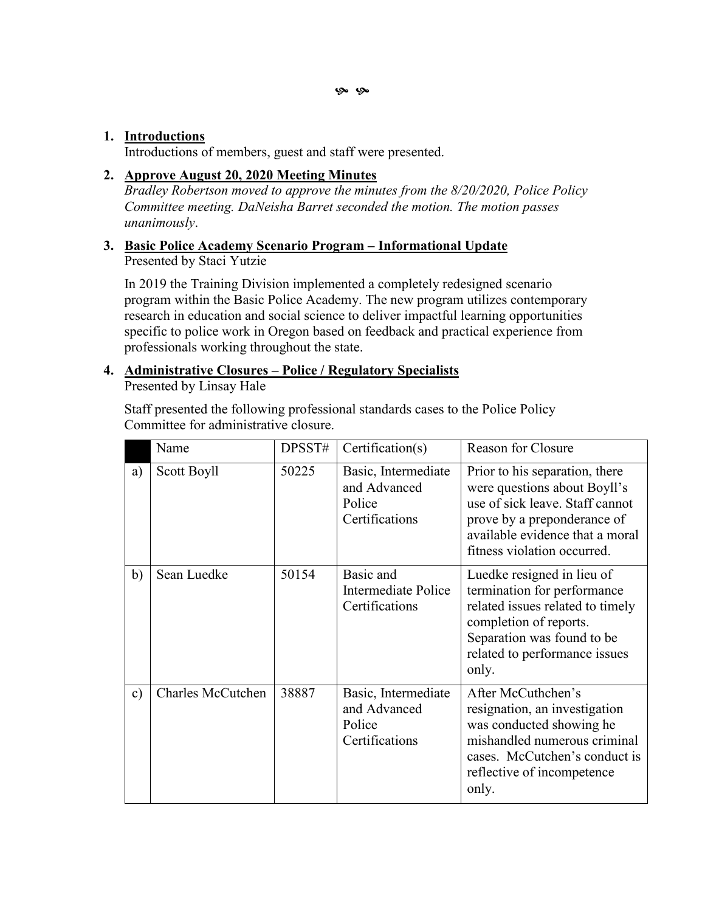## **1. Introductions**

Introductions of members, guest and staff were presented.

## **2. Approve August 20, 2020 Meeting Minutes**

*Bradley Robertson moved to approve the minutes from the 8/20/2020, Police Policy Committee meeting. DaNeisha Barret seconded the motion. The motion passes unanimously*.

#### **3. Basic Police Academy Scenario Program – Informational Update** Presented by Staci Yutzie

In 2019 the Training Division implemented a completely redesigned scenario program within the Basic Police Academy. The new program utilizes contemporary research in education and social science to deliver impactful learning opportunities specific to police work in Oregon based on feedback and practical experience from professionals working throughout the state.

#### **4. Administrative Closures – Police / Regulatory Specialists** Presented by Linsay Hale

Staff presented the following professional standards cases to the Police Policy Committee for administrative closure.

|    | Name                     | DPSST# | Certification(s)                                                | <b>Reason for Closure</b>                                                                                                                                                                          |
|----|--------------------------|--------|-----------------------------------------------------------------|----------------------------------------------------------------------------------------------------------------------------------------------------------------------------------------------------|
| a) | Scott Boyll              | 50225  | Basic, Intermediate<br>and Advanced<br>Police<br>Certifications | Prior to his separation, there<br>were questions about Boyll's<br>use of sick leave. Staff cannot<br>prove by a preponderance of<br>available evidence that a moral<br>fitness violation occurred. |
| b) | Sean Luedke              | 50154  | Basic and<br>Intermediate Police<br>Certifications              | Luedke resigned in lieu of<br>termination for performance<br>related issues related to timely<br>completion of reports.<br>Separation was found to be<br>related to performance issues<br>only.    |
| c) | <b>Charles McCutchen</b> | 38887  | Basic, Intermediate<br>and Advanced<br>Police<br>Certifications | After McCuthchen's<br>resignation, an investigation<br>was conducted showing he<br>mishandled numerous criminal<br>cases. McCutchen's conduct is<br>reflective of incompetence<br>only.            |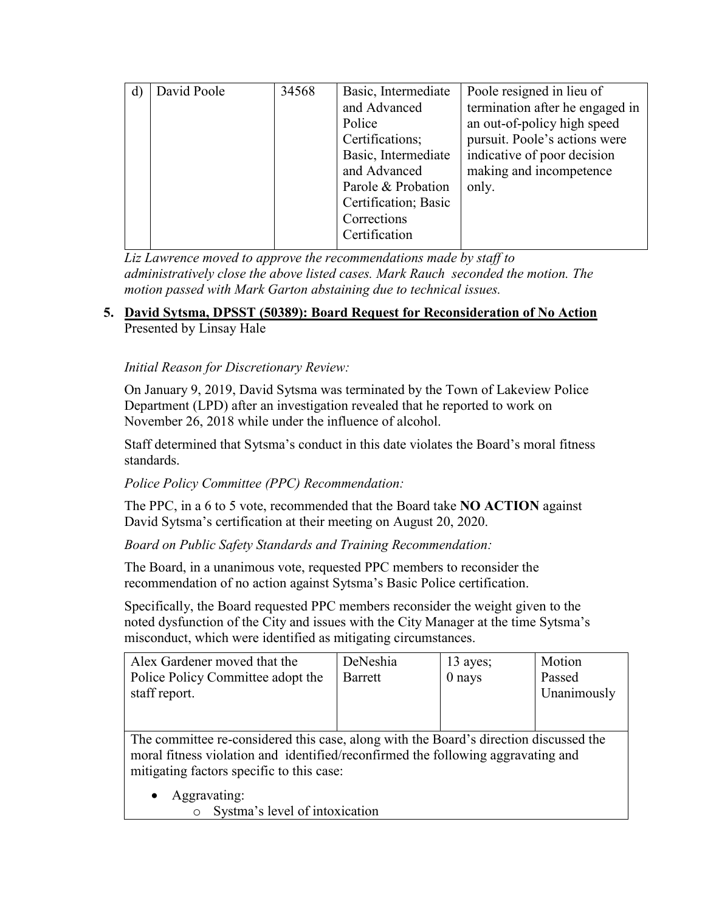| David Poole | 34568 | Basic, Intermediate  | Poole resigned in lieu of       |
|-------------|-------|----------------------|---------------------------------|
|             |       | and Advanced         | termination after he engaged in |
|             |       | Police               | an out-of-policy high speed     |
|             |       | Certifications;      | pursuit. Poole's actions were   |
|             |       | Basic, Intermediate  | indicative of poor decision     |
|             |       | and Advanced         | making and incompetence         |
|             |       | Parole & Probation   | only.                           |
|             |       | Certification; Basic |                                 |
|             |       | Corrections          |                                 |
|             |       | Certification        |                                 |
|             |       |                      |                                 |

*Liz Lawrence moved to approve the recommendations made by staff to administratively close the above listed cases. Mark Rauch seconded the motion. The motion passed with Mark Garton abstaining due to technical issues.*

## **5. David Sytsma, DPSST (50389): Board Request for Reconsideration of No Action**  Presented by Linsay Hale

*Initial Reason for Discretionary Review:* 

On January 9, 2019, David Sytsma was terminated by the Town of Lakeview Police Department (LPD) after an investigation revealed that he reported to work on November 26, 2018 while under the influence of alcohol.

Staff determined that Sytsma's conduct in this date violates the Board's moral fitness standards.

## *Police Policy Committee (PPC) Recommendation:*

The PPC, in a 6 to 5 vote, recommended that the Board take **NO ACTION** against David Sytsma's certification at their meeting on August 20, 2020.

*Board on Public Safety Standards and Training Recommendation:*

The Board, in a unanimous vote, requested PPC members to reconsider the recommendation of no action against Sytsma's Basic Police certification.

Specifically, the Board requested PPC members reconsider the weight given to the noted dysfunction of the City and issues with the City Manager at the time Sytsma's misconduct, which were identified as mitigating circumstances.

| Alex Gardener moved that the      | DeNeshia | $13$ ayes; | Motion      |
|-----------------------------------|----------|------------|-------------|
| Police Policy Committee adopt the | Barrett  | 0 nays     | Passed      |
| staff report.                     |          |            | Unanimously |
|                                   |          |            |             |

The committee re-considered this case, along with the Board's direction discussed the moral fitness violation and identified/reconfirmed the following aggravating and mitigating factors specific to this case:

- Aggravating:
	- o Systma's level of intoxication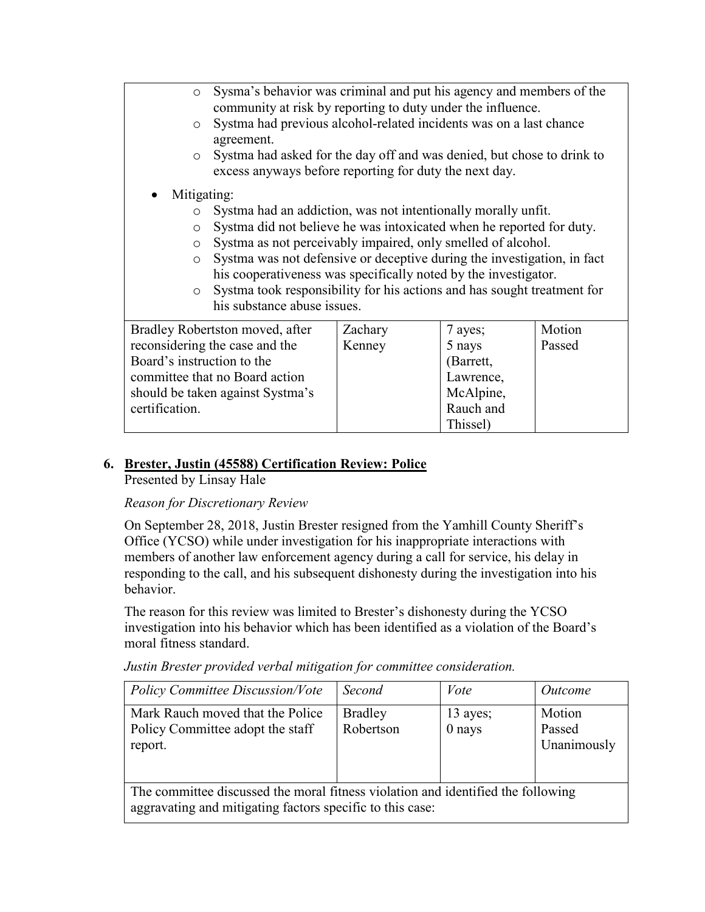| $\circ$                        | Sysma's behavior was criminal and put his agency and members of the<br>community at risk by reporting to duty under the influence.                                                                                   |                                                                                                                                                                                                                 |           |        |  |
|--------------------------------|----------------------------------------------------------------------------------------------------------------------------------------------------------------------------------------------------------------------|-----------------------------------------------------------------------------------------------------------------------------------------------------------------------------------------------------------------|-----------|--------|--|
| $\circ$                        | Systma had previous alcohol-related incidents was on a last chance<br>agreement.<br>Systma had asked for the day off and was denied, but chose to drink to<br>excess anyways before reporting for duty the next day. |                                                                                                                                                                                                                 |           |        |  |
| $\circ$                        |                                                                                                                                                                                                                      |                                                                                                                                                                                                                 |           |        |  |
| Mitigating:                    |                                                                                                                                                                                                                      |                                                                                                                                                                                                                 |           |        |  |
| $\circ$                        | Systma had an addiction, was not intentionally morally unfit.                                                                                                                                                        |                                                                                                                                                                                                                 |           |        |  |
| $\circ$                        |                                                                                                                                                                                                                      | Systma did not believe he was intoxicated when he reported for duty.<br>Systma as not perceivably impaired, only smelled of alcohol.<br>Systma was not defensive or deceptive during the investigation, in fact |           |        |  |
| $\circ$                        |                                                                                                                                                                                                                      |                                                                                                                                                                                                                 |           |        |  |
| $\circ$                        |                                                                                                                                                                                                                      |                                                                                                                                                                                                                 |           |        |  |
|                                | his cooperativeness was specifically noted by the investigator.                                                                                                                                                      |                                                                                                                                                                                                                 |           |        |  |
| $\circ$                        |                                                                                                                                                                                                                      | Systma took responsibility for his actions and has sought treatment for                                                                                                                                         |           |        |  |
|                                | his substance abuse issues.                                                                                                                                                                                          |                                                                                                                                                                                                                 |           |        |  |
|                                | Bradley Robertston moved, after                                                                                                                                                                                      | Zachary                                                                                                                                                                                                         | 7 ayes;   | Motion |  |
| reconsidering the case and the |                                                                                                                                                                                                                      | Kenney                                                                                                                                                                                                          | 5 nays    | Passed |  |
| Board's instruction to the     |                                                                                                                                                                                                                      |                                                                                                                                                                                                                 | (Barrett, |        |  |
|                                | committee that no Board action                                                                                                                                                                                       |                                                                                                                                                                                                                 | Lawrence, |        |  |
|                                | should be taken against Systma's                                                                                                                                                                                     |                                                                                                                                                                                                                 | McAlpine, |        |  |
| certification.                 |                                                                                                                                                                                                                      |                                                                                                                                                                                                                 | Rauch and |        |  |

Thissel)

# **6. Brester, Justin (45588) Certification Review: Police**

Presented by Linsay Hale

#### *Reason for Discretionary Review*

On September 28, 2018, Justin Brester resigned from the Yamhill County Sheriff's Office (YCSO) while under investigation for his inappropriate interactions with members of another law enforcement agency during a call for service, his delay in responding to the call, and his subsequent dishonesty during the investigation into his behavior.

The reason for this review was limited to Brester's dishonesty during the YCSO investigation into his behavior which has been identified as a violation of the Board's moral fitness standard.

| <b>Policy Committee Discussion/Vote</b>                                                                                                       | Second                      | Vote                 | <i>Outcome</i>                  |  |  |
|-----------------------------------------------------------------------------------------------------------------------------------------------|-----------------------------|----------------------|---------------------------------|--|--|
| Mark Rauch moved that the Police<br>Policy Committee adopt the staff<br>report.                                                               | <b>Bradley</b><br>Robertson | 13 ayes;<br>$0$ nays | Motion<br>Passed<br>Unanimously |  |  |
| The committee discussed the moral fitness violation and identified the following<br>aggravating and mitigating factors specific to this case: |                             |                      |                                 |  |  |

*Justin Brester provided verbal mitigation for committee consideration.*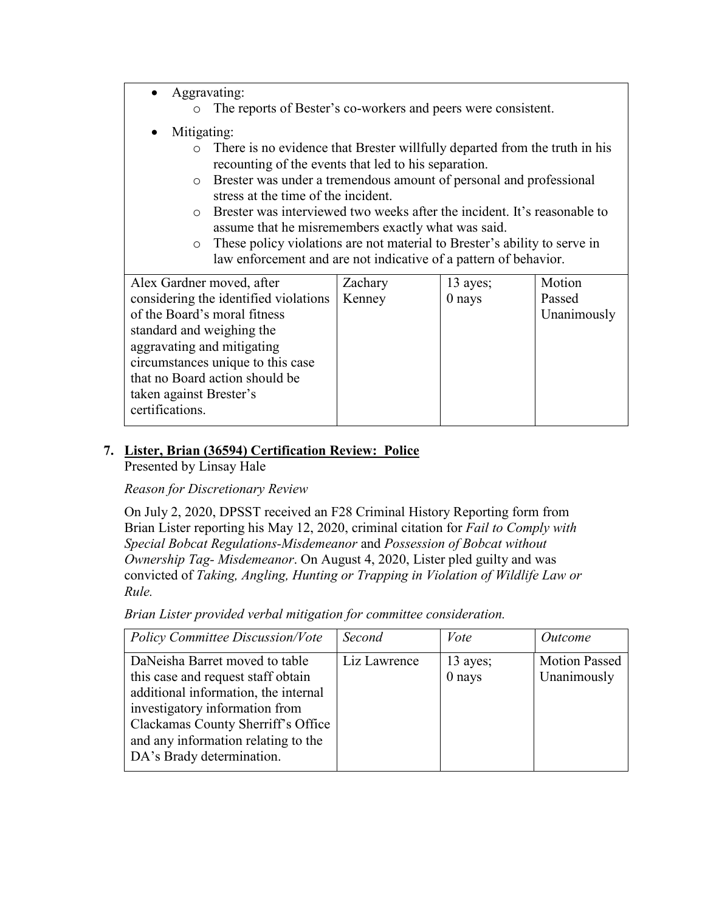- Aggravating:
	- o The reports of Bester's co-workers and peers were consistent.
- Mitigating:
	- o There is no evidence that Brester willfully departed from the truth in his recounting of the events that led to his separation.
	- o Brester was under a tremendous amount of personal and professional stress at the time of the incident.
	- o Brester was interviewed two weeks after the incident. It's reasonable to assume that he misremembers exactly what was said.
	- o These policy violations are not material to Brester's ability to serve in law enforcement and are not indicative of a pattern of behavior.

| Alex Gardner moved, after             | Zachary | 13 ayes; | Motion      |
|---------------------------------------|---------|----------|-------------|
| considering the identified violations | Kenney  | $0$ nays | Passed      |
| of the Board's moral fitness          |         |          | Unanimously |
| standard and weighing the             |         |          |             |
| aggravating and mitigating            |         |          |             |
| circumstances unique to this case     |         |          |             |
| that no Board action should be        |         |          |             |
| taken against Brester's               |         |          |             |
| certifications.                       |         |          |             |
|                                       |         |          |             |

## **7. Lister, Brian (36594) Certification Review: Police**

Presented by Linsay Hale

## *Reason for Discretionary Review*

On July 2, 2020, DPSST received an F28 Criminal History Reporting form from Brian Lister reporting his May 12, 2020, criminal citation for *Fail to Comply with Special Bobcat Regulations-Misdemeanor* and *Possession of Bobcat without Ownership Tag- Misdemeanor*. On August 4, 2020, Lister pled guilty and was convicted of *Taking, Angling, Hunting or Trapping in Violation of Wildlife Law or Rule.* 

*Brian Lister provided verbal mitigation for committee consideration.*

| <b>Policy Committee Discussion/Vote</b>                                                                                                                                                                                                                  | Second       | Vote                 | <i>Outcome</i>                      |
|----------------------------------------------------------------------------------------------------------------------------------------------------------------------------------------------------------------------------------------------------------|--------------|----------------------|-------------------------------------|
| DaNeisha Barret moved to table<br>this case and request staff obtain<br>additional information, the internal<br>investigatory information from<br>Clackamas County Sherriff's Office<br>and any information relating to the<br>DA's Brady determination. | Liz Lawrence | 13 ayes;<br>$0$ nays | <b>Motion Passed</b><br>Unanimously |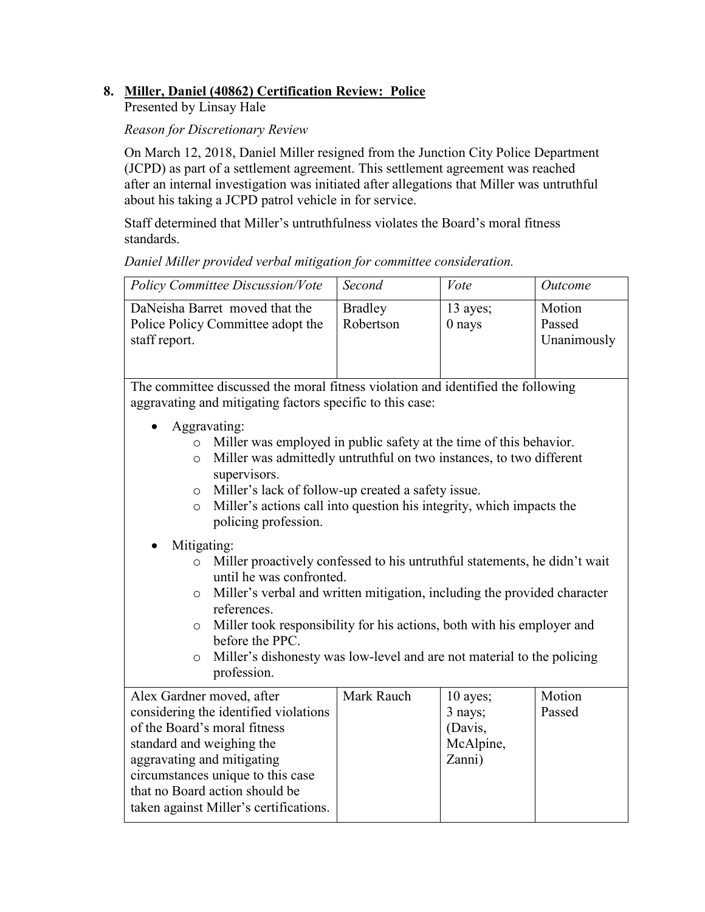## **8. Miller, Daniel (40862) Certification Review: Police**

Presented by Linsay Hale

## *Reason for Discretionary Review*

On March 12, 2018, Daniel Miller resigned from the Junction City Police Department (JCPD) as part of a settlement agreement. This settlement agreement was reached after an internal investigation was initiated after allegations that Miller was untruthful about his taking a JCPD patrol vehicle in for service.

Staff determined that Miller's untruthfulness violates the Board's moral fitness standards.

*Daniel Miller provided verbal mitigation for committee consideration.*

| <b>Policy Committee Discussion/Vote</b>                                              | Second                      | Vote                 | <i>Outcome</i>                  |
|--------------------------------------------------------------------------------------|-----------------------------|----------------------|---------------------------------|
| DaNeisha Barret moved that the<br>Police Policy Committee adopt the<br>staff report. | <b>Bradley</b><br>Robertson | 13 ayes;<br>$0$ nays | Motion<br>Passed<br>Unanimously |

The committee discussed the moral fitness violation and identified the following aggravating and mitigating factors specific to this case:

- Aggravating:
	- o Miller was employed in public safety at the time of this behavior.
	- o Miller was admittedly untruthful on two instances, to two different supervisors.
	- o Miller's lack of follow-up created a safety issue.
	- o Miller's actions call into question his integrity, which impacts the policing profession.

## • Mitigating:

- o Miller proactively confessed to his untruthful statements, he didn't wait until he was confronted.
- o Miller's verbal and written mitigation, including the provided character references.
- o Miller took responsibility for his actions, both with his employer and before the PPC.
- o Miller's dishonesty was low-level and are not material to the policing profession.

| Alex Gardner moved, after              | Mark Rauch | $10$ ayes; | Motion |
|----------------------------------------|------------|------------|--------|
| considering the identified violations  |            | 3 nays;    | Passed |
| of the Board's moral fitness           |            | (Davis,    |        |
| standard and weighing the              |            | McAlpine,  |        |
| aggravating and mitigating             |            | Zanni)     |        |
| circumstances unique to this case      |            |            |        |
| that no Board action should be         |            |            |        |
| taken against Miller's certifications. |            |            |        |
|                                        |            |            |        |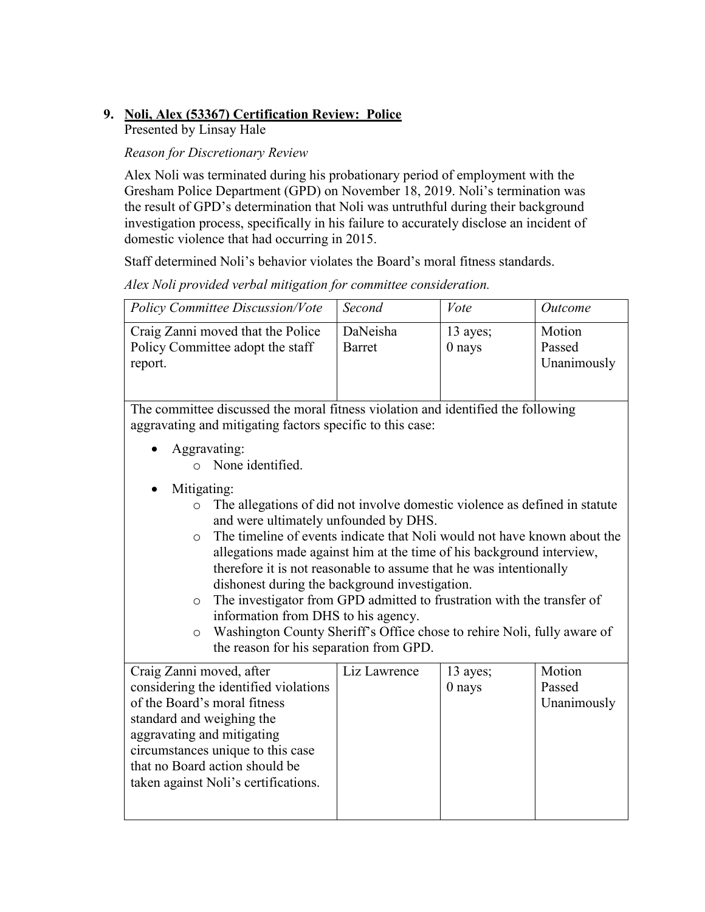# **9. Noli, Alex (53367) Certification Review: Police**

Presented by Linsay Hale

## *Reason for Discretionary Review*

Alex Noli was terminated during his probationary period of employment with the Gresham Police Department (GPD) on November 18, 2019. Noli's termination was the result of GPD's determination that Noli was untruthful during their background investigation process, specifically in his failure to accurately disclose an incident of domestic violence that had occurring in 2015.

Staff determined Noli's behavior violates the Board's moral fitness standards.

| <b>Policy Committee Discussion/Vote</b>                                                                                                                                                                                                                                                                                                                                                                                                                                                                                                                                                                                                                                                            | Second                    | Vote                 | Outcome                         |
|----------------------------------------------------------------------------------------------------------------------------------------------------------------------------------------------------------------------------------------------------------------------------------------------------------------------------------------------------------------------------------------------------------------------------------------------------------------------------------------------------------------------------------------------------------------------------------------------------------------------------------------------------------------------------------------------------|---------------------------|----------------------|---------------------------------|
| Craig Zanni moved that the Police<br>Policy Committee adopt the staff<br>report.                                                                                                                                                                                                                                                                                                                                                                                                                                                                                                                                                                                                                   | DaNeisha<br><b>Barret</b> | 13 ayes;<br>$0$ nays | Motion<br>Passed<br>Unanimously |
| The committee discussed the moral fitness violation and identified the following<br>aggravating and mitigating factors specific to this case:                                                                                                                                                                                                                                                                                                                                                                                                                                                                                                                                                      |                           |                      |                                 |
| Aggravating:<br>None identified.<br>$\bigcap$                                                                                                                                                                                                                                                                                                                                                                                                                                                                                                                                                                                                                                                      |                           |                      |                                 |
| Mitigating:<br>The allegations of did not involve domestic violence as defined in statute<br>$\circ$<br>and were ultimately unfounded by DHS.<br>The timeline of events indicate that Noli would not have known about the<br>$\circ$<br>allegations made against him at the time of his background interview,<br>therefore it is not reasonable to assume that he was intentionally<br>dishonest during the background investigation.<br>The investigator from GPD admitted to frustration with the transfer of<br>$\circ$<br>information from DHS to his agency.<br>Washington County Sheriff's Office chose to rehire Noli, fully aware of<br>$\circ$<br>the reason for his separation from GPD. |                           |                      |                                 |
| Craig Zanni moved, after<br>considering the identified violations<br>of the Board's moral fitness<br>standard and weighing the<br>aggravating and mitigating<br>circumstances unique to this case<br>that no Board action should be<br>taken against Noli's certifications.                                                                                                                                                                                                                                                                                                                                                                                                                        | Liz Lawrence              | 13 ayes;<br>$0$ nays | Motion<br>Passed<br>Unanimously |

*Alex Noli provided verbal mitigation for committee consideration.*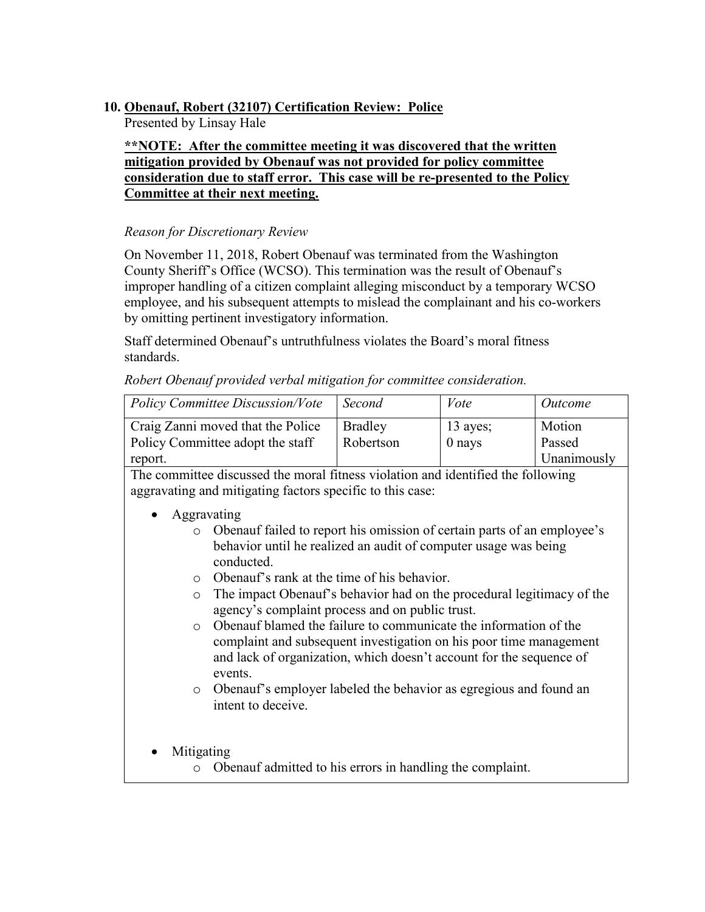# **10. Obenauf, Robert (32107) Certification Review: Police**

Presented by Linsay Hale

## **\*\*NOTE: After the committee meeting it was discovered that the written mitigation provided by Obenauf was not provided for policy committee consideration due to staff error. This case will be re-presented to the Policy Committee at their next meeting.**

## *Reason for Discretionary Review*

On November 11, 2018, Robert Obenauf was terminated from the Washington County Sheriff's Office (WCSO). This termination was the result of Obenauf's improper handling of a citizen complaint alleging misconduct by a temporary WCSO employee, and his subsequent attempts to mislead the complainant and his co-workers by omitting pertinent investigatory information.

Staff determined Obenauf's untruthfulness violates the Board's moral fitness standards.

*Robert Obenauf provided verbal mitigation for committee consideration.*

| <b>Policy Committee Discussion/Vote</b>                               | Second                      | Vote                   | Outcome            |
|-----------------------------------------------------------------------|-----------------------------|------------------------|--------------------|
| Craig Zanni moved that the Police<br>Policy Committee adopt the staff | <b>Bradley</b><br>Robertson | $13$ ayes;<br>$0$ nays | Motion<br>Passed   |
| report.                                                               |                             |                        | <b>Unanimously</b> |

- Aggravating
	- o Obenauf failed to report his omission of certain parts of an employee's behavior until he realized an audit of computer usage was being conducted.
	- o Obenauf's rank at the time of his behavior.
	- o The impact Obenauf's behavior had on the procedural legitimacy of the agency's complaint process and on public trust.
	- o Obenauf blamed the failure to communicate the information of the complaint and subsequent investigation on his poor time management and lack of organization, which doesn't account for the sequence of events.
	- o Obenauf's employer labeled the behavior as egregious and found an intent to deceive.
- Mitigating
	- o Obenauf admitted to his errors in handling the complaint.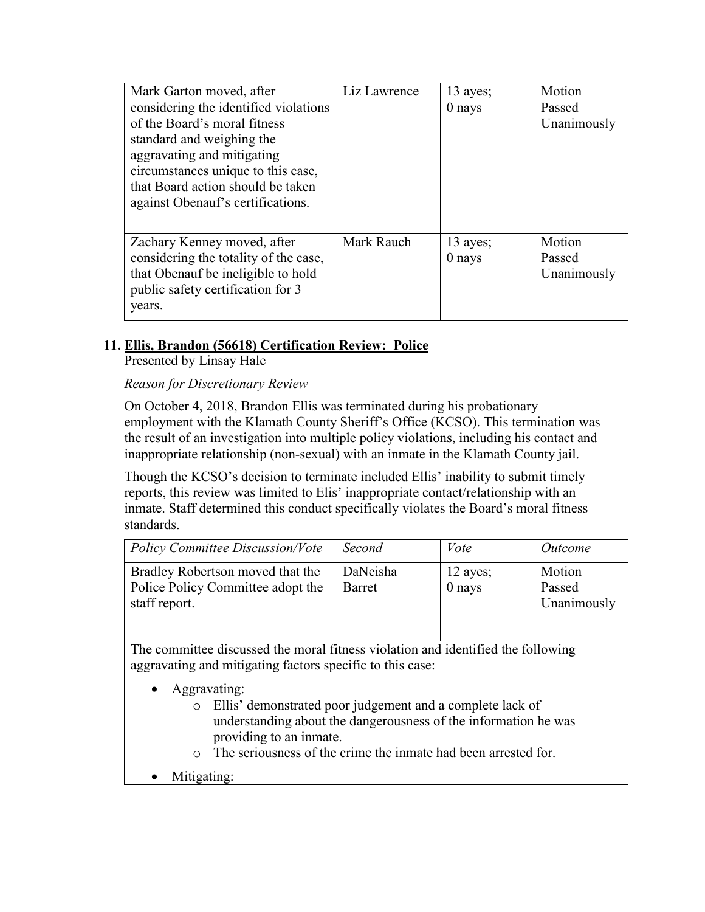| Mark Garton moved, after              | Liz Lawrence | $13$ ayes; | Motion      |
|---------------------------------------|--------------|------------|-------------|
| considering the identified violations |              | $0$ nays   | Passed      |
| of the Board's moral fitness          |              |            | Unanimously |
| standard and weighing the             |              |            |             |
| aggravating and mitigating            |              |            |             |
| circumstances unique to this case,    |              |            |             |
| that Board action should be taken     |              |            |             |
| against Obenauf's certifications.     |              |            |             |
|                                       |              |            |             |
| Zachary Kenney moved, after           | Mark Rauch   | 13 ayes;   | Motion      |
| considering the totality of the case, |              | 0 nays     | Passed      |
| that Obenauf be ineligible to hold    |              |            | Unanimously |
| public safety certification for 3     |              |            |             |
| years.                                |              |            |             |

# **11. Ellis, Brandon (56618) Certification Review: Police**

Presented by Linsay Hale

*Reason for Discretionary Review*

On October 4, 2018, Brandon Ellis was terminated during his probationary employment with the Klamath County Sheriff's Office (KCSO). This termination was the result of an investigation into multiple policy violations, including his contact and inappropriate relationship (non-sexual) with an inmate in the Klamath County jail.

Though the KCSO's decision to terminate included Ellis' inability to submit timely reports, this review was limited to Elis' inappropriate contact/relationship with an inmate. Staff determined this conduct specifically violates the Board's moral fitness standards.

| <b>Policy Committee Discussion/Vote</b>                                                | Second             | Vote               | Outcome                         |
|----------------------------------------------------------------------------------------|--------------------|--------------------|---------------------------------|
| Bradley Robertson moved that the<br>Police Policy Committee adopt the<br>staff report. | DaNeisha<br>Barret | 12 ayes;<br>0 nays | Motion<br>Passed<br>Unanimously |

- Aggravating:
	- o Ellis' demonstrated poor judgement and a complete lack of understanding about the dangerousness of the information he was providing to an inmate.
	- o The seriousness of the crime the inmate had been arrested for.
- Mitigating: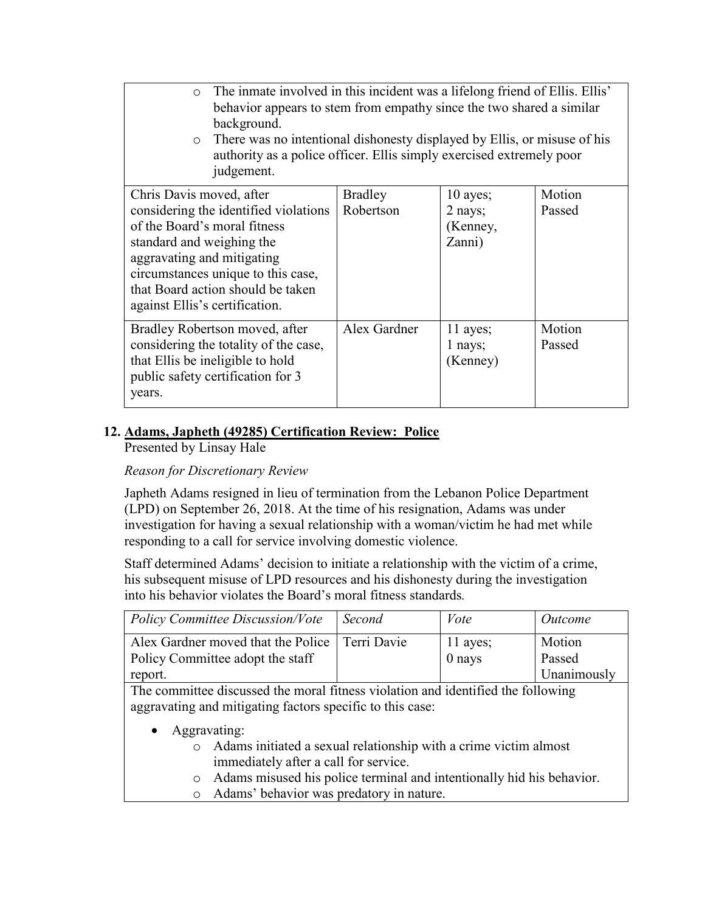| The inmate involved in this incident was a lifelong friend of Ellis. Ellis'<br>$\circ$<br>behavior appears to stem from empathy since the two shared a similar<br>background.<br>There was no intentional dishonesty displayed by Ellis, or misuse of his<br>$\circ$<br>authority as a police officer. Ellis simply exercised extremely poor<br>judgement. |                             |                                           |                  |
|------------------------------------------------------------------------------------------------------------------------------------------------------------------------------------------------------------------------------------------------------------------------------------------------------------------------------------------------------------|-----------------------------|-------------------------------------------|------------------|
| Chris Davis moved, after<br>considering the identified violations<br>of the Board's moral fitness<br>standard and weighing the<br>aggravating and mitigating<br>circumstances unique to this case,<br>that Board action should be taken<br>against Ellis's certification.                                                                                  | <b>Bradley</b><br>Robertson | 10 ayes;<br>2 nays;<br>(Kenney,<br>Zanni) | Motion<br>Passed |
| Bradley Robertson moved, after<br>considering the totality of the case,<br>that Ellis be ineligible to hold<br>public safety certification for 3<br>years.                                                                                                                                                                                                 | Alex Gardner                | 11 ayes;<br>1 nays;<br>(Kenney)           | Motion<br>Passed |

# **12. Adams, Japheth (49285) Certification Review: Police**

Presented by Linsay Hale

## *Reason for Discretionary Review*

Japheth Adams resigned in lieu of termination from the Lebanon Police Department (LPD) on September 26, 2018. At the time of his resignation, Adams was under investigation for having a sexual relationship with a woman/victim he had met while responding to a call for service involving domestic violence.

Staff determined Adams' decision to initiate a relationship with the victim of a crime, his subsequent misuse of LPD resources and his dishonesty during the investigation into his behavior violates the Board's moral fitness standards*.*

| <b>Policy Committee Discussion/Vote</b>                                              | Second | Vote                 | <i>Outcome</i>   |
|--------------------------------------------------------------------------------------|--------|----------------------|------------------|
| Alex Gardner moved that the Police   Terri Davie<br>Policy Committee adopt the staff |        | $11$ ayes;<br>0 nays | Motion<br>Passed |
| report.                                                                              |        |                      | Unanimously      |

- Aggravating:
	- o Adams initiated a sexual relationship with a crime victim almost immediately after a call for service.
	- $\circ$  Adams misused his police terminal and intentionally hid his behavior.<br>  $\circ$  Adams' behavior was predatory in nature.
	- Adams' behavior was predatory in nature.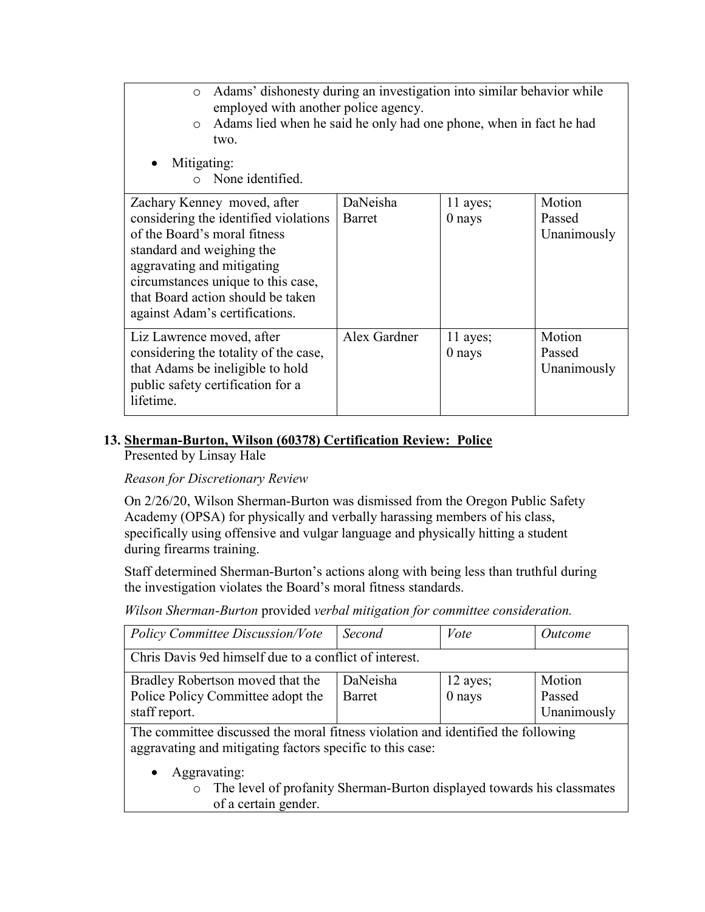| Adams' dishonesty during an investigation into similar behavior while<br>$\circ$<br>employed with another police agency.<br>Adams lied when he said he only had one phone, when in fact he had<br>$\circ$<br>two.                                                            |                    |                      |                                 |  |
|------------------------------------------------------------------------------------------------------------------------------------------------------------------------------------------------------------------------------------------------------------------------------|--------------------|----------------------|---------------------------------|--|
| Mitigating:<br>None identified.                                                                                                                                                                                                                                              |                    |                      |                                 |  |
| Zachary Kenney moved, after<br>considering the identified violations<br>of the Board's moral fitness<br>standard and weighing the<br>aggravating and mitigating<br>circumstances unique to this case,<br>that Board action should be taken<br>against Adam's certifications. | DaNeisha<br>Barret | 11 ayes;<br>$0$ nays | Motion<br>Passed<br>Unanimously |  |
| Liz Lawrence moved, after<br>considering the totality of the case,<br>that Adams be ineligible to hold<br>public safety certification for a<br>lifetime.                                                                                                                     | Alex Gardner       | 11 ayes;<br>$0$ nays | Motion<br>Passed<br>Unanimously |  |

## **13. Sherman-Burton, Wilson (60378) Certification Review: Police**

Presented by Linsay Hale

## *Reason for Discretionary Review*

On 2/26/20, Wilson Sherman-Burton was dismissed from the Oregon Public Safety Academy (OPSA) for physically and verbally harassing members of his class, specifically using offensive and vulgar language and physically hitting a student during firearms training.

Staff determined Sherman-Burton's actions along with being less than truthful during the investigation violates the Board's moral fitness standards.

*Wilson Sherman-Burton* provided *verbal mitigation for committee consideration.*

| <b>Policy Committee Discussion/Vote</b>                                                                                                       | Second        | Vote     | Outcome     |
|-----------------------------------------------------------------------------------------------------------------------------------------------|---------------|----------|-------------|
| Chris Davis 9ed himself due to a conflict of interest.                                                                                        |               |          |             |
| Bradley Robertson moved that the                                                                                                              | DaNeisha      | 12 ayes; | Motion      |
| Police Policy Committee adopt the                                                                                                             | <b>Barret</b> | $0$ nays | Passed      |
| staff report.                                                                                                                                 |               |          | Unanimously |
| The committee discussed the moral fitness violation and identified the following<br>aggravating and mitigating factors specific to this case: |               |          |             |
| Aggravating:                                                                                                                                  |               |          |             |
| The level of profanity Sherman-Burton displayed towards his classmates<br>$\circ$                                                             |               |          |             |
| of a certain gender.                                                                                                                          |               |          |             |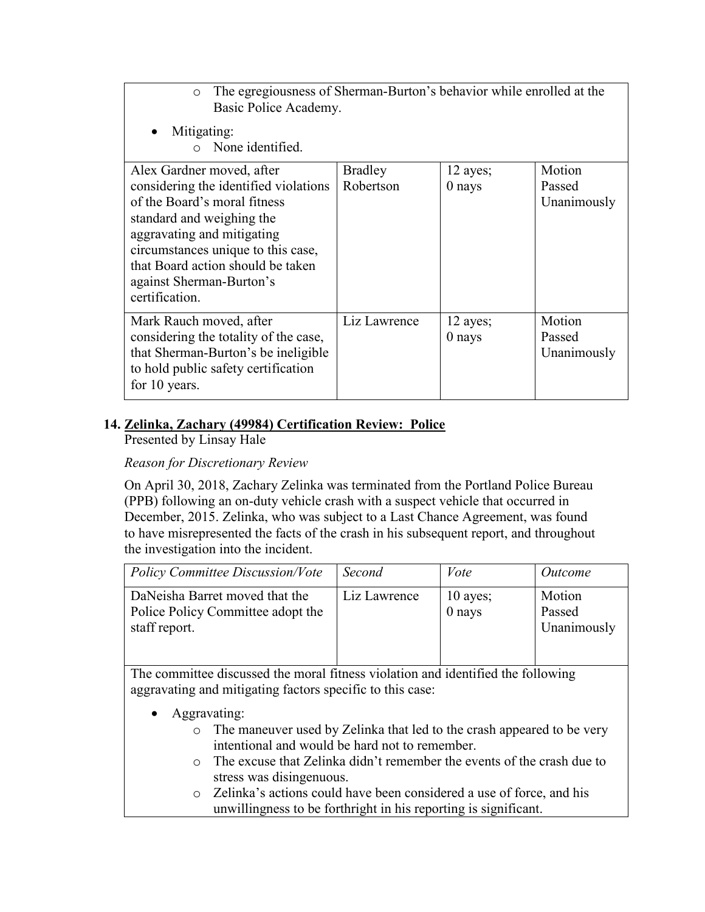| The egregiousness of Sherman-Burton's behavior while enrolled at the<br>$\circ$<br>Basic Police Academy.                                                                                                                                                                               |                             |                      |                                 |
|----------------------------------------------------------------------------------------------------------------------------------------------------------------------------------------------------------------------------------------------------------------------------------------|-----------------------------|----------------------|---------------------------------|
| Mitigating:<br>None identified.                                                                                                                                                                                                                                                        |                             |                      |                                 |
| Alex Gardner moved, after<br>considering the identified violations<br>of the Board's moral fitness<br>standard and weighing the<br>aggravating and mitigating<br>circumstances unique to this case,<br>that Board action should be taken<br>against Sherman-Burton's<br>certification. | <b>Bradley</b><br>Robertson | 12 ayes;<br>$0$ nays | Motion<br>Passed<br>Unanimously |
| Mark Rauch moved, after<br>considering the totality of the case,<br>that Sherman-Burton's be ineligible<br>to hold public safety certification<br>for 10 years.                                                                                                                        | Liz Lawrence                | 12 ayes;<br>0 nays   | Motion<br>Passed<br>Unanimously |

## **14. Zelinka, Zachary (49984) Certification Review: Police**

Presented by Linsay Hale

## *Reason for Discretionary Review*

On April 30, 2018, Zachary Zelinka was terminated from the Portland Police Bureau (PPB) following an on-duty vehicle crash with a suspect vehicle that occurred in December, 2015. Zelinka, who was subject to a Last Chance Agreement, was found to have misrepresented the facts of the crash in his subsequent report, and throughout the investigation into the incident.

| <b>Policy Committee Discussion/Vote</b>                                              | Second       | Vote                   | Outcome                         |
|--------------------------------------------------------------------------------------|--------------|------------------------|---------------------------------|
| DaNeisha Barret moved that the<br>Police Policy Committee adopt the<br>staff report. | Liz Lawrence | $10$ ayes;<br>$0$ nays | Motion<br>Passed<br>Unanimously |

- Aggravating:
	- o The maneuver used by Zelinka that led to the crash appeared to be very intentional and would be hard not to remember.
	- o The excuse that Zelinka didn't remember the events of the crash due to stress was disingenuous.
	- o Zelinka's actions could have been considered a use of force, and his unwillingness to be forthright in his reporting is significant.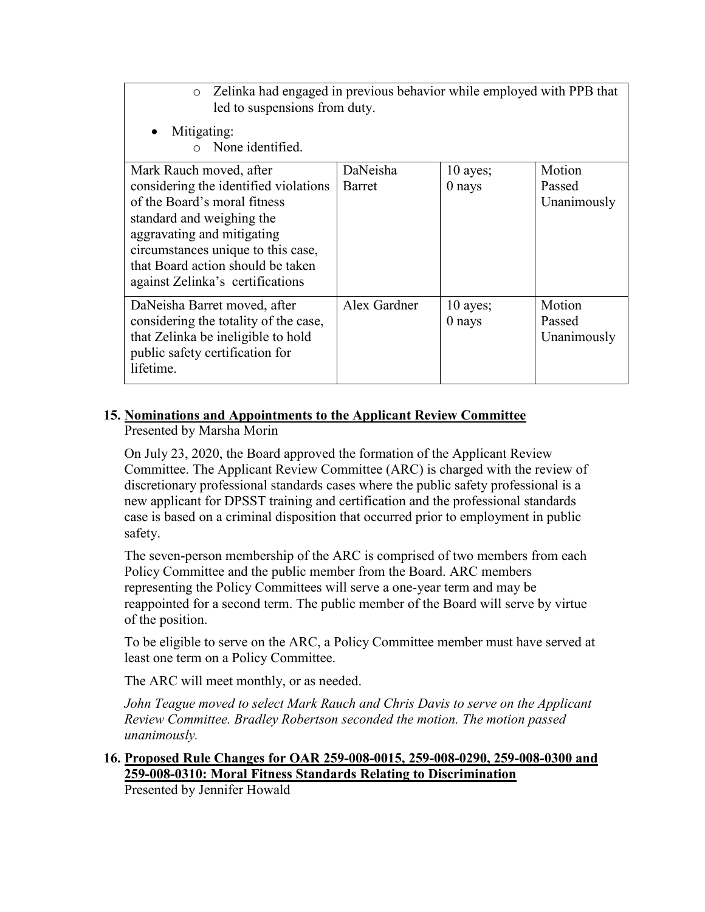| Zelinka had engaged in previous behavior while employed with PPB that<br>$\circ$<br>led to suspensions from duty. |              |            |             |
|-------------------------------------------------------------------------------------------------------------------|--------------|------------|-------------|
| Mitigating:<br>$\bullet$<br>None identified.                                                                      |              |            |             |
| Mark Rauch moved, after                                                                                           | DaNeisha     | $10$ ayes; | Motion      |
| considering the identified violations                                                                             | Barret       | $0$ nays   | Passed      |
| of the Board's moral fitness                                                                                      |              |            | Unanimously |
| standard and weighing the                                                                                         |              |            |             |
| aggravating and mitigating                                                                                        |              |            |             |
| circumstances unique to this case,                                                                                |              |            |             |
| that Board action should be taken                                                                                 |              |            |             |
| against Zelinka's certifications                                                                                  |              |            |             |
| DaNeisha Barret moved, after                                                                                      | Alex Gardner | $10$ ayes; | Motion      |
| considering the totality of the case,                                                                             |              | $0$ nays   | Passed      |
| that Zelinka be ineligible to hold                                                                                |              |            | Unanimously |
| public safety certification for                                                                                   |              |            |             |
| lifetime.                                                                                                         |              |            |             |

## **15. Nominations and Appointments to the Applicant Review Committee**

Presented by Marsha Morin

On July 23, 2020, the Board approved the formation of the Applicant Review Committee. The Applicant Review Committee (ARC) is charged with the review of discretionary professional standards cases where the public safety professional is a new applicant for DPSST training and certification and the professional standards case is based on a criminal disposition that occurred prior to employment in public safety.

The seven-person membership of the ARC is comprised of two members from each Policy Committee and the public member from the Board. ARC members representing the Policy Committees will serve a one-year term and may be reappointed for a second term. The public member of the Board will serve by virtue of the position.

To be eligible to serve on the ARC, a Policy Committee member must have served at least one term on a Policy Committee.

The ARC will meet monthly, or as needed.

*John Teague moved to select Mark Rauch and Chris Davis to serve on the Applicant Review Committee. Bradley Robertson seconded the motion. The motion passed unanimously.*

## **16. Proposed Rule Changes for OAR 259-008-0015, 259-008-0290, 259-008-0300 and 259-008-0310: Moral Fitness Standards Relating to Discrimination**  Presented by Jennifer Howald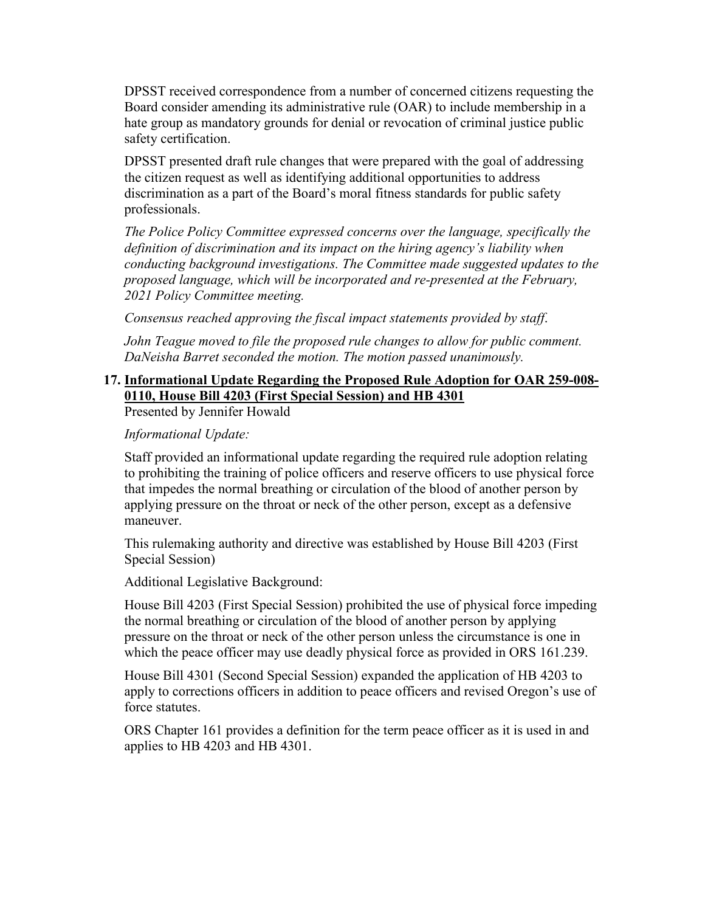DPSST received correspondence from a number of concerned citizens requesting the Board consider amending its administrative rule (OAR) to include membership in a hate group as mandatory grounds for denial or revocation of criminal justice public safety certification.

DPSST presented draft rule changes that were prepared with the goal of addressing the citizen request as well as identifying additional opportunities to address discrimination as a part of the Board's moral fitness standards for public safety professionals.

*The Police Policy Committee expressed concerns over the language, specifically the definition of discrimination and its impact on the hiring agency's liability when conducting background investigations. The Committee made suggested updates to the proposed language, which will be incorporated and re-presented at the February, 2021 Policy Committee meeting.*

*Consensus reached approving the fiscal impact statements provided by staff*.

*John Teague moved to file the proposed rule changes to allow for public comment. DaNeisha Barret seconded the motion. The motion passed unanimously.*

## **17. Informational Update Regarding the Proposed Rule Adoption for OAR 259-008- 0110, House Bill 4203 (First Special Session) and HB 4301**

Presented by Jennifer Howald

*Informational Update:* 

Staff provided an informational update regarding the required rule adoption relating to prohibiting the training of police officers and reserve officers to use physical force that impedes the normal breathing or circulation of the blood of another person by applying pressure on the throat or neck of the other person, except as a defensive maneuver.

This rulemaking authority and directive was established by House Bill 4203 (First Special Session)

Additional Legislative Background:

House Bill 4203 (First Special Session) prohibited the use of physical force impeding the normal breathing or circulation of the blood of another person by applying pressure on the throat or neck of the other person unless the circumstance is one in which the peace officer may use deadly physical force as provided in ORS 161.239.

House Bill 4301 (Second Special Session) expanded the application of HB 4203 to apply to corrections officers in addition to peace officers and revised Oregon's use of force statutes.

ORS Chapter 161 provides a definition for the term peace officer as it is used in and applies to HB 4203 and HB 4301.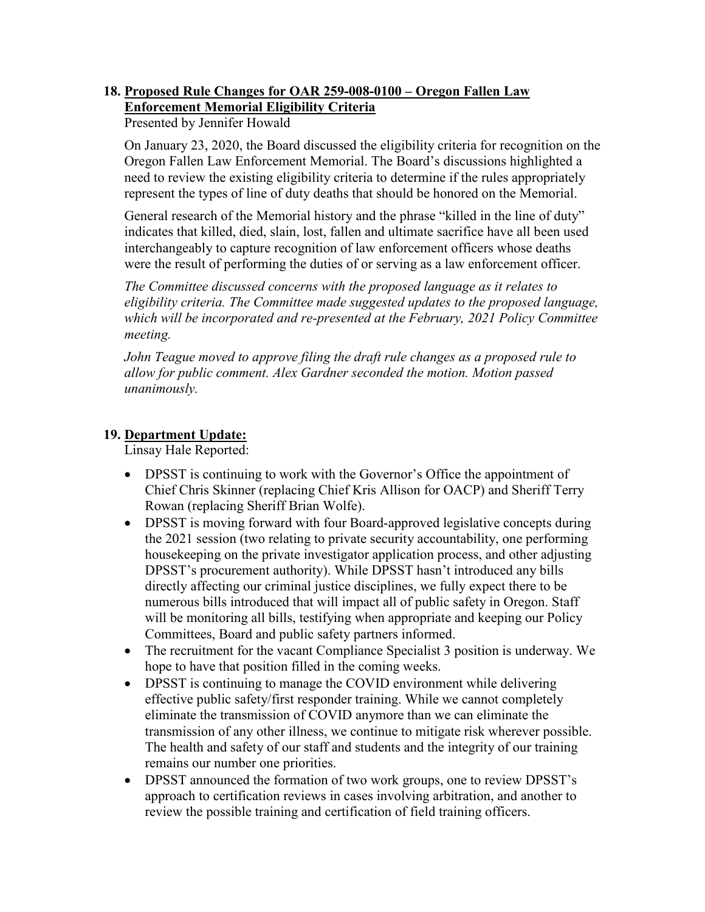# **18. Proposed Rule Changes for OAR 259-008-0100 – Oregon Fallen Law Enforcement Memorial Eligibility Criteria**

Presented by Jennifer Howald

On January 23, 2020, the Board discussed the eligibility criteria for recognition on the Oregon Fallen Law Enforcement Memorial. The Board's discussions highlighted a need to review the existing eligibility criteria to determine if the rules appropriately represent the types of line of duty deaths that should be honored on the Memorial.

General research of the Memorial history and the phrase "killed in the line of duty" indicates that killed, died, slain, lost, fallen and ultimate sacrifice have all been used interchangeably to capture recognition of law enforcement officers whose deaths were the result of performing the duties of or serving as a law enforcement officer.

*The Committee discussed concerns with the proposed language as it relates to eligibility criteria. The Committee made suggested updates to the proposed language, which will be incorporated and re-presented at the February, 2021 Policy Committee meeting.*

*John Teague moved to approve filing the draft rule changes as a proposed rule to allow for public comment. Alex Gardner seconded the motion. Motion passed unanimously.*

## **19. Department Update:**

Linsay Hale Reported:

- DPSST is continuing to work with the Governor's Office the appointment of Chief Chris Skinner (replacing Chief Kris Allison for OACP) and Sheriff Terry Rowan (replacing Sheriff Brian Wolfe).
- DPSST is moving forward with four Board-approved legislative concepts during the 2021 session (two relating to private security accountability, one performing housekeeping on the private investigator application process, and other adjusting DPSST's procurement authority). While DPSST hasn't introduced any bills directly affecting our criminal justice disciplines, we fully expect there to be numerous bills introduced that will impact all of public safety in Oregon. Staff will be monitoring all bills, testifying when appropriate and keeping our Policy Committees, Board and public safety partners informed.
- The recruitment for the vacant Compliance Specialist 3 position is underway. We hope to have that position filled in the coming weeks.
- DPSST is continuing to manage the COVID environment while delivering effective public safety/first responder training. While we cannot completely eliminate the transmission of COVID anymore than we can eliminate the transmission of any other illness, we continue to mitigate risk wherever possible. The health and safety of our staff and students and the integrity of our training remains our number one priorities.
- DPSST announced the formation of two work groups, one to review DPSST's approach to certification reviews in cases involving arbitration, and another to review the possible training and certification of field training officers.